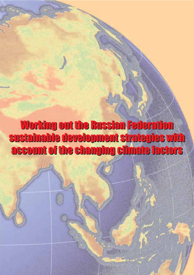Working out the Russian Federation Working out the Russian Federation sustainable development strategies with sustainable development strategies with account of the changing climate factors account of the changing climate factors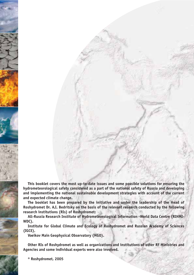This booklet covers the most up-to-date issues and some possible solutions for ensuring the **hydrometeorological safety considered as a part of the national safety of Russia and developing and implementing the national sustainable development strategies with account of the current and expected climate change.** 

**The booklet has been prepared by the initiative and under the leadership of the Head of Roshydromet Dr. A.I. Bedritsky on the basis of the relevant research conducted by the following research institutions (RIs) of Roshydromet:**

All-Russia Research Institute of Hydrometeorological Information -World Data Centre (RIHMI-**WDC),**

**Institute for Global Climate and Ecology of Roshydromet and Russian Academy of Sciences (IGCE),** 

**Voeikov Main Geophysical Observatory (MGO).**

**Other RIs of Roshydromet as well as organizations and institutions of other RF Ministries and Agencies and some individual experts were also involved.** 

**® Roshydromet, 2005**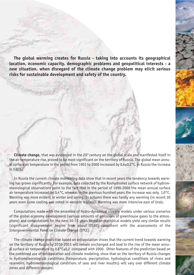The global warming creates for Russia - taking into accounts its geographical **location, economic capacity, demographic problems and geopolitical interests a new situation, when disregard of the climate change problem may elicit serious risks for sustainable development and safety of the country.** 

**Climate change,** that was evidenced in the 20<sup>th</sup> century on the global scale and manifested itself in the air temperature rise, proved to be most significant on the territory of Russia. The global mean annu al surface air temperature in the period from 1901 to 2000 increased by 0,6±0,2°С, in Russia the increase is 1.0°С.

In Russia the current climate monitoring data show that in recent years the tendency towards warm ing has grown significantly. For example, data collected by the Roshydromet surface network of hydrom eteorological observations point to the fact that in the period of 1990-2000 the mean annual surface air temperature increased by 0,4°С, whereas in the previous hundred years the increase was only 1,0°С. Warming was more evident in winter and spring. In autumn there was hardly any warming (in recent 30 years even some cooling was noted in western regions). Warming was more intensive east of Urals.

Computations made with the ensemble of hydro-dynamical climate models under various scenarios of the global economy development (various amounts of emissions of greenhouse gases to the atmos phere) and computations for the next 10-15 years based on statistical models yield very similar results (significant disagreement begins from about 2030) consistent with the assessments of the Intergovernmental Panel on Climate Change (IPCC)

The climate change prediction based on extrapolation shows that the current trend towards warming on the territory of Russia by 2010-2015 will remain unchanged and lead to the rise of the mean annual surface air temperature by  $0.6^{\circ}$ C $\pm$ 0.2 compared with 2000. Other features of the prediction based on the combined use of extrapolation and climate modeling, show that on the territory of Russia changes in hydrometeorological conditions (temperature, precipitation, hydrological conditions of rivers and reservoirs, hydrometeorological conditions of seas and river mouths) will vary over different climate zones and different seasons. 1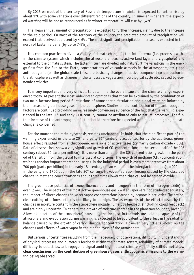By 2015 on most of the territory of Russia air temperature in winter is expected to further rise by about 1°C with some variations over different regions of the country. In summer in general the expected warming will be not as pronounced as in winter. temperature will rise by 0,4°С.

The mean annual amount of precipitation is expected to further increase, mainly due to the increase in the cold period. On most of the territory of the country the predicted amount of precipitation will exceed that received at present by 4-6%. The most significant precipitation increase is expected in the north of Eastern Siberia (by up to 7-9%).

It is common practice to divide a variety of climate change factors into internal (i.e. processes with in the climate system, which includes the atmosphere, oceans, active land layer and cryosphere) and external to the climate system. The latter in turn are divided into natural (time variations in the ener gy flow from the Sun to the Earth, concentrations of volcanic aerosols in the atmosphere, etc.) and anthropogenic (on the global scale these are basically changes in active component concentration in the atmosphere as well as changes in the landscape, vegetation, hydrological cycle etc. caused by eco nomic activities.

It is very important and very difficult to determine the overall cause of the climate change experi enced today. At present the most wide-spread opinion is that it can be explained by the combination of two main factors: long-period fluctuations of atmospheric circulation and global warming induced by the increase of greenhouse gases in the atmosphere. Studies on the contribution of the anthropogenic factors are continued providing an increasingly convincing evidence of the fact that the warming expe rienced in the late 20<sup>th</sup> and early 21st century cannot be attributed only to natural processes. The further increase of the anthropogenic factor should therefore be expected as far as the on-going climate change is concerned.

For the moment the main hypothesis remains unchanged. It holds that the significant part of the warming experienced in the late 20<sup>th</sup> and early 21<sup>st</sup> century is accounted for by the additional greenhouse effect resulted from anthropogenic emissions of active gases (primarily carbon dioxide -  $CO<sub>2</sub>$ ). Data of observations show a very significant growth of  $CO<sub>2</sub>$  concentrations in the second half of the 20<sup>th</sup> century (about 50 parts per million). It is more than a half of the  $CO<sub>2</sub>$  concentration growth in the period of transition from the glacial to interglacial conditions. The growth of methane (CH<sub>4</sub>) concentration, which is another important greenhouse gas, in the industrial period is even more intensive: from about 700 ppb (parts per billion) in the early 18th century (mean value for the interglacial periods) to 900 ppb in the early and 1700 ppb in the late 20<sup>th</sup> century. However, radiation forcing caused by the observed change in methane concentration is about three times lower than that caused by carbon dioxide.

The greenhouse potential of ozone, fluorocarbons and nitrogen (in the form of nitrogen oxide) is even lower. The impacts of the most active greenhouse gas - water vapor -are not studied adequately; the impact of direct changes in water vapor concentrations caused by economic activities (irrigation, clear-cutting of a forest etc.) is not likely to be high. The assessments of the effect caused by the changes in moisture content in the atmosphere include numerous feedback (including cloud feedback) and are highly uncertain. In general the growth of moisture content in the planetary boundary layer (1 2 lower kilometers of the atmosphere) caused by the increase in the moisture-holding capacity of the atmosphere and evaporation during warming is expected to be equivalent to the effect in the radiation balance caused by the growth of carbon dioxide concentration. However, very little is known on the changes and effects of water vapor in the higher layers of the atmosphere.

But serious uncertainties resulting from the inadequacy of observations, difficulty in understanding of physical processes and numerous feedback within the climate system, reliability of climate models, difficulty to detect low anthropogenic signal amid high natural climate variability still **do not allow clear conclusions on the contribution of greenhouse gases anthropogenic emissions to the warm ing being observed**.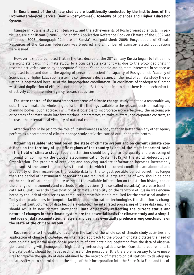**In Russia most of the climate studies are traditionally conducted by the institutions of the** Hydrometerological Service (now - Roshydromet), Academy of Sciences and Higher Education **System.** 

Climate in Russia is studied intensively, and the achievements of Roshydromet scientists, in par ticular, are significant (1980-85: Scientific Application Reference Book on Climate of the USSR was produced; 2002: Monograph "Climate of Russia" was published; 2005: Encyclopedia of Climate Resources of the Russian Federation was prepared and a number of climate-related publications were issued).

However it should be noted that in the last decade of the  $20<sup>th</sup>$  century Russia began to fall behind the world standards in climate study. To a considerable extent it was due to the prolonged crisis in research activities caused by inadequate funding. Young people are no more interested in science as they used to be and due to the ageing of personnel a scientific capacity of Roshydromet, Academy of Sciences and Higher Education System is continuously decreasing. In the field of climate study the sit uation is aggravated because of the inappropriate coordination. In conditions of inadequate funding waste and duplication of efforts is not permissible. At the same time to date there is no mechanism to effectively coordinate inter-agency research activities.

**The state control of the most important areas of climate change study** might be a reasonable way out. This will make the whole range of scientific findings available to the relevant decision making and planning bodies. Such approach will make it possible to incorporate more effectively the national pri ority areas of climate study into international programmes, to make bilateral and corporate contacts, to increase the international visibility of national commitments.

Attention should be paid to the role of Roshydromet as a body that can better than any other agency perform as a coordinator of climate change study activities carried out under state control.

**Obtaining reliable information on the state of climate system and on current climate con ditions on the territory of specific regions of the country is one of the most important tasks in the field of climate study.** Special attention should be given to the quality and processing of information coming via the Global Telecommunication System (GTS) of the World Meteorological Organization. The problem of receiving and applying satellite information becomes increasingly important. At the same time to assess the extent to which the current conditions are abnormal and probability of their recurrence, the reliable data for the longest possible period, sometimes longer than the period of instrumental observations are required. A large amount of work should be done on the check of data homogeneity using all the available information on the station history and on the change of instruments and methods of observations (the so-called metadata) to create baseline data sets. Until recently investigation of climate variability on the territory of Russia was encum bered by the lack of time series on computer-compatible media required for the statistical analysis. Today due to advances in computer facilities and information technologies the situation is chang ing. Significant volumes of data become available. The integrated processing of these data may and should result in new climate knowledge. **Data objectively reflecting the current status and nature of changes in the climate system are the essential basis for climate study and a simpli fied idea of data accumulation, analysis and use may eventually produce wrong conclusions on the state of the climate system.** 

Requirements to the quality of data form the basis of the whole set of climate study activities and application of climate knowledge. An integrated approach to the problem of data dictates the need of developing a sequential multi-phase procedure of data obtaining, beginning from the data of observations and ending with homogenous high-quality meteorological data series. Consistent requirements to the data quality should be met at each phase of the procedure. It is therefore necessary to take meas ures to improve the quality of data obtained by the network of meteorological stations, to develop up to date software to control data at the stage of their incorporation into the State Data Fund and to col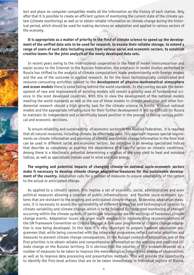lect and place on computer compatible media all the information on the history of each station. Only after that it is possible to create an efficient system of monitoring the current state of the climate sys tem (climate monitoring) as well as to obtain reliable information on climate change during the histor ical period, which should be used for making decisions on adaptation and applied in various sectors of the economy.

## **It is appropriate as a matter of priority in the field of climate science to speed up the develop ment of the unified data sets to be used for research, to ensure their reliable storage, to extend a range of users of such data including users from various social and economic sectors, to establish creative teams for the joint analysis of the newly developed data sets.**

In recent years owing to the international cooperation in the field of model intercomparison and easier access to the Internet in the Russian Federation, the emphasis in model studies performed in Russia has shifted to the analysis of climate computations made predominantly with foreign models and the use of the outcome in applied research. As for the most technologically complicated and resource-consuming activities related to the **development of physico-mathematical atmosphere and ocean models** there is some falling behind the world standards. In the coming decade the devel opment of new and improvement of existing models will remain a priority area of fundamental sci ence in the most developed countries. With this in view the development of the national models meeting the world standards as well as the use of these models in climate prediction and other fun damental research should a high priority task for the climate science in Russia. Without national models and the appropriate infrastructure for their further development it will be difficult for Russia to maintain its independent and scientifically based position in the process of taking various politi cal and economic decisions.

To ensure reliability and sustainability of economic sectors in the Russian Federation, it is required that all natural resources, including climate, be effectively used. This approach imposes special require ments on climate information and provision of climate and climate change information in the form that can be used in different social and economic sectors. Our objective is to develop specialized indices that describe as completely as possible the dependence of a specific sector on climatic conditions. Among these is a bioclimatic potential determining a relation of the crop yield to heat and moisture indices, as well as specialized indices used in wind and solar energy.

The ongoing and potential impacts of changing climate on national socio-economic sectors **make it necessary to develop climate change adaptation measures for the sustainable develop ment of the country.** Adaptation calls for a number of measures to ensure adaptability of the system to the actual or anticipated change.

As applied to a climatic system, this implies a set of economic, social, administrative and even political measures allowing a creation of public infrastructures and flexible socio-economic systems that are resistant to the ongoing and anticipated climate change. To develop adaptation meas ures, it is necessary to assess the vulnerability of different ecological and technological systems to climate variability and climate change, which is to be followed by integrated monitoring of changes occurring within the climate system. Of particular importance are the warnings of hazardous climate change events. Adaptation issues are given much emphasis in implementing recommendations of the UN Framework Convention on Climate Change. A five-year programme of climate change adaptation is now being developed. In this case it is very important to prepare national adaptation pro grammes that, while being connected with the integrated programme, reflect national priorities and measures to prevent climate change consequences. In the Russian context of adaptation, one of the first priorities is to obtain reliable and comprehensive information on the ongoing and predicted cli mate change on the Russian territory. It is obvious that the solution of this problem depends on a number of measures to be taken to improve the meteorological network and quality of observations, as well as to improve data processing and presentation methods. This will provide the opportunity to identify the first-level actions that are to be taken immediately in individual regions of Russia.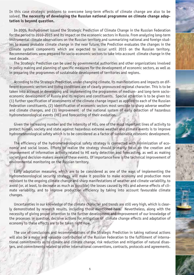In this case strategic problems to overcome long-term effects of climate change are also to be solved. **The necessity of developing the Russian national programme on climate change adap tation is beyond question.**

In 2005, Roshydromet issued the Strategic Prediction of Climate Change in the Russian Federation for the period to 2010-2015 and its impact on the economic sectors in Russia. From analyzing long-term instrumental climate observations on the Russian territory and summarizing national and foreign stud ies to assess probable climate change in the near future, the Prediction evaluates the changes in the climate system components which are expected to occur until 2015 on the Russian territory. Recommendations were prepared for socio-economic sectors to take into account climate change in the next decade.

The Strategic Prediction can be used by governmental authorities and other organizations involved in policy making and planning of specific measures for the development of economic sectors, as well as in preparing the programmes of sustainable development of territories and regions.

According to the Strategic Prediction, under changing climate, its manifestations and impacts on dif ferent economic sectors and living conditions are of clearly pronounced regional character. This is to be taken into account in developing and implementing the programmes of medium- and long-term socioeconomic development of Russia and its regions and constituents. Special attention is to be given to: (1) further specification of assessments of the climate change impact as applied to each of the Russian Federation constituents, (2) identification of economic sectors most sensible to sharp adverse weather and climate changes, and (3) improvement of the national system of early detection of hazardous hydrometeorological events (HE) and forecasting of their evolution.

Given the increasing number and the intensity of HEs, one of the most important lines of activity to protect human, society and state against hazardous extreme weather and climate events is to improve hydrometeorological safety which is to be considered as a factor of sustainable economic development.

The efficiency of the hydrometeorological safety strategy is connected with minimization of eco nomic and social losses. Efforts to realize the strategy should primarily focus on the creation and improvement of information activity related to HE early detection and forecasting, as well as making society and decision-makers aware of these events. Of importance here is the technical improvement of environmental monitoring on the Russian territory.

Early adaptation measures, which are to be considered as one of the ways of implementing the hydrometeorological security strategy, will make it possible to make economy and production more resistant to the ongoing climate change and sharp manifestations of weather and climate variability, to avoid (or, at least, to decrease as much as possible) the losses caused by HEs and adverse effects of cli mate variability, and to improve production efficiency by taking into account favourable climate changes.

Uncertainties in our knowledge of the climate character and trends are still very high, which is clear ly demonstrated by research results, including those mentioned here. Nevertheless, along with the necessity of giving proper attention to the further development and improvement of our knowledge of the processes in question, decisive actions for mitigation of climate change effects and adaptation of economy to these effects are to be taken right now.

The use of conclusions and recommendations of the Strategic Prediction in taking national actions will also be a major and valuable contribution of the Russian Federation to the fulfillment of interna tional commitments as to climate and climate change, risk reduction and mitigation of natural disas ters, and commitments related to other international conventions, contracts, protocols and agreements.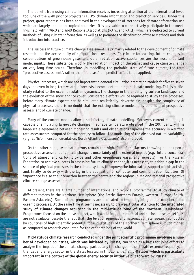The benefit from using climate information receives increasing attention at the international level, too. One of the WMO priority projects is CLIPS, climate information and prediction services. Under this project, great progress has been achieved in the development of methods for climate information use which are largely applied to tropical countries. It is advisable to more actively participate in the meet ings held within WMO and WMO Regional Associations (RA VI and RA II), which are dedicated to current methods of using climate information, as well as to promote the distribution of these methods and their introduction into practice.

The success in future climate change assessments is primarily related to the development of climate research and the accessibility of computational resources. In climate forecasting, future changes in concentrations of greenhouse gases and other radiation active substances are the most important model inputs. These substances modify the radiation impact on the planet and cause climate change on very long time scales. Therefore, in modelling the probable state of future climate, the term "prospective assessment", rather than "forecast" or "prediction", is to be applied.

Physical processes, which are not important in general circulation prediction models for five to seven days and even in long-term weather forecasts, become determining in climate modelling. This is particularly related to the ocean circulation dynamics, the change in the underlying surface landscape, and the evolution of the snow and ice cover. Considerable efforts will be required to study these processes, before many climate aspects can be simulated realistically. Nevertheless, despite the complexity of physical processes, there is no doubt that the existing climate models provide a helpful prospective assessment of climate change.

Many of the current models allow a satisfactory climate modelling. Moreover, current modeling is capable of simulating large-scale changes in surface temperature observed in the 20th century. This large-scale agreement between modelling results and observations improves the accuracy in warming rate assessments computed for the century to follow. The modelling of the observed natural variability (e.g. El Ni?o, monsoon circulation, North Atlantic Oscillation) also improved.

On the other hand, systematic errors remain too high. One of the factors throwing doubt upon a prospective assessment of climate change is uncertainty of the external impact (e.g. future concentra tions of atmospheric carbon dioxide and other greenhouse gases and aerosols). For the Russian Federation to achieve success in assessing future climate change, it is necessary to bridge a gap in the science of physical processes in the climate system, to improve the information support of this activity and, finally, to do away with the lag in the application of computer and communication facilities. Of importance is also the interaction between the centre and the regions in making regional prospective climate change assessments.

At present, there are a large number of international and regional programmes to study climate of different regions in the Northern Hemisphere (the Arctic, Northern Eurasia, Western Europe, South Eastern Asia, etc.). Some of the programmes are dedicated to the study of global atmospheric and oceanic processes. At the same time it seems necessary to draw particular attention **to the integrated** study of climate changes occurring in the mid-latitude zone of the Northern Hemisphere. Programmes focused on the above subject, which would integrate regional and national research efforts, are not available, despite the fact that the level of regional and national climate research conducted by countries of high scientific potential for mid latitudes of the Northern Hemisphere is much higher, as compared to research conducted for the other regions of the world.

Mid-latitude climate research conducted under the joint scientific programme involving a num**ber of developed countries, which was initiated by Russia,** can serve as a basis for joint efforts to analyze the impact of the climate change, particularly the change in the climate extreme frequency, on the fuel and energy sector in the states located in this zone, i.e. all G-8 states, which is particularly **important in the context of the global energy security initiative put forward by Russia.**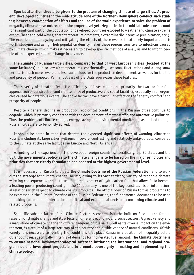**Special attention should be given to the problem of changing climate of large cities. At pres** ent, developed countries in the mid-latitude zone of the Northern Hemisphere conduct such stud**ies; however, coordination of efforts and the use of the world experience to solve the problem of** megacity climate have not reached the proper level yet. Megacities in the mid-latitude zone account for a significant part of the population of developed countries exposed to weather and climate extreme events (heat and cold waves, sharp temperature gradients, extraordinarily intensive precipitation, etc.). The experience in analyzing and mitigating the effects of these events is extremely important and is worth studying and using. High population density makes these regions sensitive to infections caused by climate change, which makes it necessary to develop specific methods of analysis and to inform peo ple of the expected climate change in advance.

**The climate of Russian large cities, compared to that of west European cities (located at the same latitudes)**, due to low air temperatures, continentality, seasonal fluctuations and a long snow period, is much more severe and less auspicious for the production development, as well as for the life and prosperity of people. Permafrost east of the Urals aggravates these features.

The severity of climate affects the efficiency of investments and primarily the two- or four-fold appreciation of construction and maintenance of productive and social facilities, especially in emergen cies caused by hazardous events. The above factors have a particular effect on the "energy comfort" and prosperity of people.

Despite a general decline in production, ecological conditions in the Russian cities continue to degrade, which is primarily connected with the development of motor traffic and automotive pollution. Thus the problems of climate change, energy saving and environmental monitoring, as applied to large Russian cities, are to be jointly solved.

It should be borne in mind that despite the expected significant effects of warming, climate in Russia, including its large cities, will remain severe, contrasting and relatively unfavourable, compared to the climate at the same latitudes in Europe and North America.

According to the experience of the developed foreign countries, specifically, the EC states and the USA, **the governmental policy as to the climate change is to be based on the major principles and priorities that are clearly formulated and adopted at the highest governmental level.** 

It is necessary for Russia to create **the Climate Doctrine of the Russian Federation** and to work out the strategy for climate change. Russia, owing to its vast territory, variety of probable climate warming consequences, and a status of a large exporter of hydrocarbon fuel that allows it to become a leading power-producing country in the 21st century, is one of the key constituents of international relations with respect to climate change problems. The official view of Russia to this problem is to be expressed in the Climate Doctrine of the Russian Federation, the fundamental document to be used in making national and international political and economical decisions concerning climate and the related problems.

Scientific substantiation of the Climate Doctrine's concept is to be built on Russian and foreign research of climate change and its effects on different economic and social sectors. A great variety and a magnitude of climate change in different regions of Russia, as well as its diverse impact on the envi ronment, is a result of a large territory of the country and a wide variety of natural conditions. Of this variety it is necessary to identify the conditions that place Russia in a position of inequality before other countries, specifically, in terms of demands for incinerated fuel amount. **The Climate Doctrine is to ensure national hydrometeorological safety in initiating the international and regional pro grammes and investment projects and to promote sovereignty in making and implementing the climate policy.**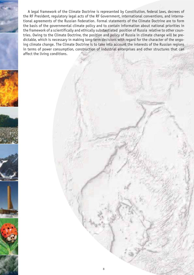A legal framework of the Climate Doctrine is represented by Constitution, federal laws, decrees of the RF President, regulatory legal acts of the RF Government, international conventions, and interna tional agreements of the Russian Federation. Formal statements of the Climate Doctrine are to form the basis of the governmental climate policy and to contain information about national priorities in the framework of a scientifically and ethically substantiated position of Russia relative to other coun tries. Owing to the Climate Doctrine, the position and policy of Russia in climate change will be pre dictable, which is necessary in making long-term decisions with regard for the character of the ongoing climate change. The Climate Doctrine is to take into account the interests of the Russian regions in terms of power consumption, construction of industrial enterprises and other structures that can affect the living conditions.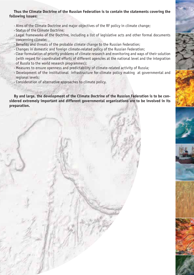## **Thus the Climate Doctrine of the Russian Federation is to contain the statements covering the following issues:**

- **·** Aims of the Climate Doctrine and major objectives of the RF policy in climate change;
- **·** Status of the Climate Doctrine;
- **·** Legal frameworks of the Doctrine, including a list of legislative acts and other formal documents concerning climate;
- **·** Benefits and threats of the probable climate change to the Russian Federation;
- **·** Changes in domestic and foreign climaterelated policy of the Russian Federation;
- **·** Clear formulation of priority problems of climate research and monitoring and ways of their solution (with regard for coordinated efforts of different agencies at the national level and the integration of Russia to the world research programmes);
- · Measures to ensure openness and predictability of climate-related activity of Russia;
- **·** Development of the institutional infrastructure for climate policy making at governmental and regional levels;
- **·** Consideration of alternative approaches to climate policy.

**By and large, the development of the Climate Doctrine of the Russian Federation is to be con sidered extremely important and different governmental organizations are to be involved in its preparation.**